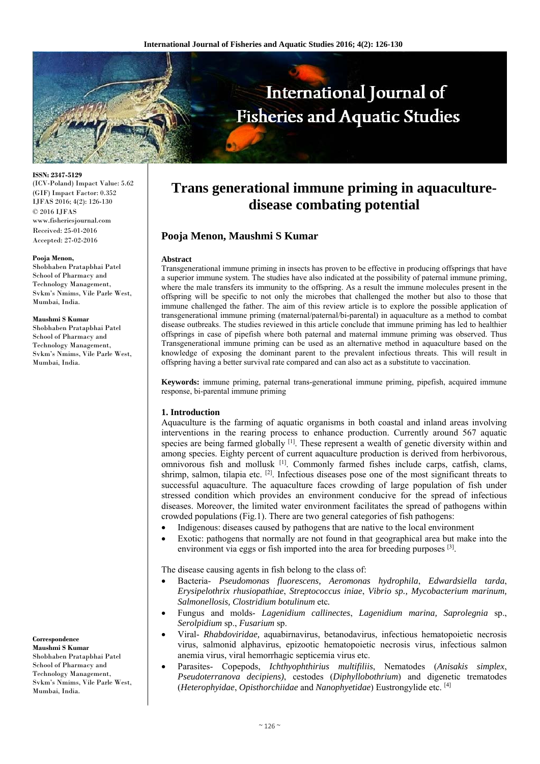

**ISSN: 2347-5129**  (ICV-Poland) Impact Value: 5.62 (GIF) Impact Factor: 0.352 IJFAS 2016; 4(2): 126-130 © 2016 IJFAS www.fisheriesjournal.com Received: 25-01-2016 Accepted: 27-02-2016

#### **Pooja Menon,**

Shobhaben Pratapbhai Patel School of Pharmacy and Technology Management, Svkm's Nmims, Vile Parle West, Mumbai, India.

#### **Maushmi S Kumar**

Shobhaben Pratapbhai Patel School of Pharmacy and Technology Management, Svkm's Nmims, Vile Parle West, Mumbai, India.

**Correspondence** 

**Maushmi S Kumar**  Shobhaben Pratapbhai Patel School of Pharmacy and Technology Management, Svkm's Nmims, Vile Parle West, Mumbai, India.

# **Trans generational immune priming in aquaculturedisease combating potential**

# **Pooja Menon, Maushmi S Kumar**

#### **Abstract**

Transgenerational immune priming in insects has proven to be effective in producing offsprings that have a superior immune system. The studies have also indicated at the possibility of paternal immune priming, where the male transfers its immunity to the offspring. As a result the immune molecules present in the offspring will be specific to not only the microbes that challenged the mother but also to those that immune challenged the father. The aim of this review article is to explore the possible application of transgenerational immune priming (maternal/paternal/bi-parental) in aquaculture as a method to combat disease outbreaks. The studies reviewed in this article conclude that immune priming has led to healthier offsprings in case of pipefish where both paternal and maternal immune priming was observed. Thus Transgenerational immune priming can be used as an alternative method in aquaculture based on the knowledge of exposing the dominant parent to the prevalent infectious threats. This will result in offspring having a better survival rate compared and can also act as a substitute to vaccination.

**Keywords:** immune priming, paternal trans-generational immune priming, pipefish, acquired immune response, bi-parental immune priming

#### **1. Introduction**

Aquaculture is the farming of aquatic organisms in both coastal and inland areas involving interventions in the rearing process to enhance production. Currently around 567 aquatic species are being farmed globally  $\left[1\right]$ . These represent a wealth of genetic diversity within and among species. Eighty percent of current aquaculture production is derived from herbivorous, omnivorous fish and mollusk [1]. Commonly farmed fishes include carps, catfish, clams, shrimp, salmon, tilapia etc. <sup>[2]</sup>. Infectious diseases pose one of the most significant threats to successful aquaculture. The aquaculture faces crowding of large population of fish under stressed condition which provides an environment conducive for the spread of infectious diseases. Moreover, the limited water environment facilitates the spread of pathogens within crowded populations (Fig.1). There are two general categories of fish pathogens:

- Indigenous: diseases caused by pathogens that are native to the local environment
- Exotic: pathogens that normally are not found in that geographical area but make into the environment via eggs or fish imported into the area for breeding purposes  $[3]$ .

The disease causing agents in fish belong to the class of:

- Bacteria- *Pseudomonas fluorescens, Aeromonas hydrophila*, *Edwardsiella tarda*, *Erysipelothrix rhusiopathiae*, *Streptococcus iniae*, *Vibrio sp., Mycobacterium marinum, Salmonellosis, Clostridium botulinum* etc*.*
- Fungus and molds- *Lagenidium callinectes*, *Lagenidium marina, Saprolegnia* sp., *Serolpidium* sp., *Fusarium* sp.
- Viral- *Rhabdoviridae,* aquabirnavirus, betanodavirus, infectious hematopoietic necrosis virus, salmonid alphavirus, epizootic hematopoietic necrosis virus, infectious salmon anemia virus, viral hemorrhagic septicemia virus etc.
- Parasites- Copepods, *Ichthyophthirius multifiliis*, Nematodes (*Anisakis simplex*, *Pseudoterranova decipiens)*, cestodes (*Diphyllobothrium*) and digenetic trematodes (*Heterophyidae*, *Opisthorchiidae* and *Nanophyetidae*) Eustrongylide etc. [4]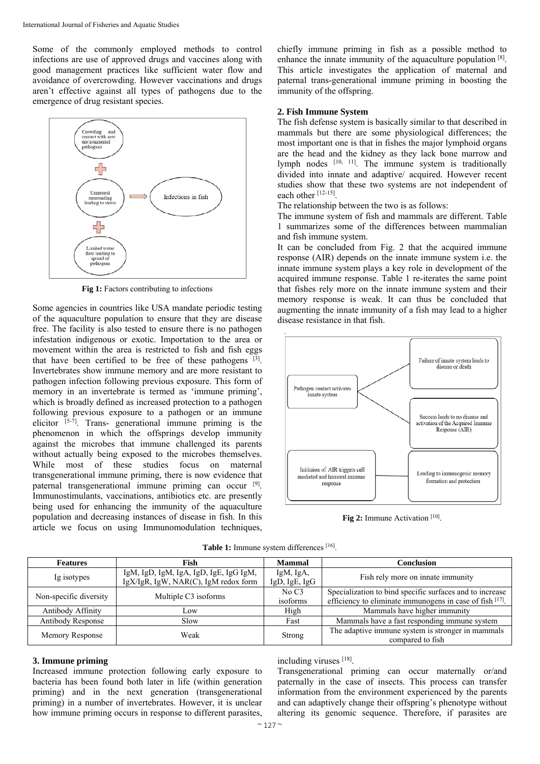Some of the commonly employed methods to control infections are use of approved drugs and vaccines along with good management practices like sufficient water flow and avoidance of overcrowding. However vaccinations and drugs aren't effective against all types of pathogens due to the emergence of drug resistant species.



Fig 1: Factors contributing to infections

Some agencies in countries like USA mandate periodic testing of the aquaculture population to ensure that they are disease free. The facility is also tested to ensure there is no pathogen infestation indigenous or exotic. Importation to the area or movement within the area is restricted to fish and fish eggs that have been certified to be free of these pathogens [3]. Invertebrates show immune memory and are more resistant to pathogen infection following previous exposure. This form of memory in an invertebrate is termed as 'immune priming', which is broadly defined as increased protection to a pathogen following previous exposure to a pathogen or an immune elicitor [5-7]. Trans- generational immune priming is the phenomenon in which the offsprings develop immunity against the microbes that immune challenged its parents without actually being exposed to the microbes themselves. While most of these studies focus on maternal transgenerational immune priming, there is now evidence that paternal transgenerational immune priming can occur [9]. Immunostimulants, vaccinations, antibiotics etc. are presently being used for enhancing the immunity of the aquaculture population and decreasing instances of disease in fish. In this article we focus on using Immunomodulation techniques,

chiefly immune priming in fish as a possible method to enhance the innate immunity of the aquaculture population [8]. This article investigates the application of maternal and paternal trans-generational immune priming in boosting the immunity of the offspring.

## **2. Fish Immune System**

The fish defense system is basically similar to that described in mammals but there are some physiological differences; the most important one is that in fishes the major lymphoid organs are the head and the kidney as they lack bone marrow and lymph nodes [10, 11]. The immune system is traditionally divided into innate and adaptive/ acquired. However recent studies show that these two systems are not independent of each other [12-15].

The relationship between the two is as follows:

The immune system of fish and mammals are different. Table 1 summarizes some of the differences between mammalian and fish immune system.

It can be concluded from Fig. 2 that the acquired immune response (AIR) depends on the innate immune system i.e. the innate immune system plays a key role in development of the acquired immune response. Table 1 re-iterates the same point that fishes rely more on the innate immune system and their memory response is weak. It can thus be concluded that augmenting the innate immunity of a fish may lead to a higher disease resistance in that fish.



Fig 2: Immune Activation<sup>[10]</sup>.

|  |  |  |  | Table 1: Immune system differences [16]. |  |
|--|--|--|--|------------------------------------------|--|
|--|--|--|--|------------------------------------------|--|

| <b>Features</b>        | Fish                                                                           | <b>Mammal</b>              | <b>Conclusion</b>                                                     |  |
|------------------------|--------------------------------------------------------------------------------|----------------------------|-----------------------------------------------------------------------|--|
| Ig isotypes            | IgM, IgD, IgM, IgA, IgD, IgE, IgG IgM,<br>IgX/IgR, IgW, NAR(C), IgM redox form | IgM, IgA,<br>IgD, IgE, IgG | Fish rely more on innate immunity                                     |  |
| Non-specific diversity | Multiple C3 isoforms                                                           | No C3                      | Specialization to bind specific surfaces and to increase              |  |
|                        |                                                                                | isoforms                   | efficiency to eliminate immunogens in case of fish [17].              |  |
| Antibody Affinity      | Low                                                                            | High                       | Mammals have higher immunity                                          |  |
| Antibody Response      | Slow                                                                           | Fast                       | Mammals have a fast responding immune system                          |  |
| Memory Response        | Weak                                                                           | Strong                     | The adaptive immune system is stronger in mammals<br>compared to fish |  |

#### **3. Immune priming**

Increased immune protection following early exposure to bacteria has been found both later in life (within generation priming) and in the next generation (transgenerational priming) in a number of invertebrates. However, it is unclear how immune priming occurs in response to different parasites,

including viruses [18].

Transgenerational priming can occur maternally or/and paternally in the case of insects. This process can transfer information from the environment experienced by the parents and can adaptively change their offspring's phenotype without altering its genomic sequence. Therefore, if parasites are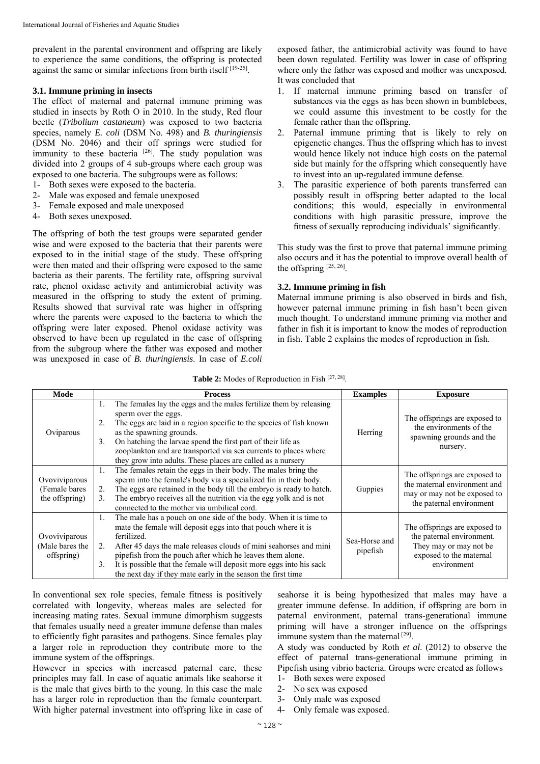prevalent in the parental environment and offspring are likely to experience the same conditions, the offspring is protected against the same or similar infections from birth itself [19-25].

### **3.1. Immune priming in insects**

The effect of maternal and paternal immune priming was studied in insects by Roth O in 2010. In the study, Red flour beetle (*Tribolium castaneum*) was exposed to two bacteria species, namely *E. coli* (DSM No. 498) and *B. thuringiensis* (DSM No. 2046) and their off springs were studied for immunity to these bacteria <sup>[26]</sup>. The study population was divided into 2 groups of 4 sub-groups where each group was exposed to one bacteria. The subgroups were as follows:

- 1- Both sexes were exposed to the bacteria.
- 2- Male was exposed and female unexposed
- 3- Female exposed and male unexposed
- 4- Both sexes unexposed.

The offspring of both the test groups were separated gender wise and were exposed to the bacteria that their parents were exposed to in the initial stage of the study. These offspring were then mated and their offspring were exposed to the same bacteria as their parents. The fertility rate, offspring survival rate, phenol oxidase activity and antimicrobial activity was measured in the offspring to study the extent of priming. Results showed that survival rate was higher in offspring where the parents were exposed to the bacteria to which the offspring were later exposed. Phenol oxidase activity was observed to have been up regulated in the case of offspring from the subgroup where the father was exposed and mother was unexposed in case of *B. thuringiensis*. In case of *E.coli* exposed father, the antimicrobial activity was found to have been down regulated. Fertility was lower in case of offspring where only the father was exposed and mother was unexposed. It was concluded that

- 1. If maternal immune priming based on transfer of substances via the eggs as has been shown in bumblebees, we could assume this investment to be costly for the female rather than the offspring.
- 2. Paternal immune priming that is likely to rely on epigenetic changes. Thus the offspring which has to invest would hence likely not induce high costs on the paternal side but mainly for the offspring which consequently have to invest into an up-regulated immune defense.
- 3. The parasitic experience of both parents transferred can possibly result in offspring better adapted to the local conditions; this would, especially in environmental conditions with high parasitic pressure, improve the fitness of sexually reproducing individuals' significantly.

This study was the first to prove that paternal immune priming also occurs and it has the potential to improve overall health of the offspring [25, 26].

## **3.2. Immune priming in fish**

Maternal immune priming is also observed in birds and fish, however paternal immune priming in fish hasn't been given much thought. To understand immune priming via mother and father in fish it is important to know the modes of reproduction in fish. Table 2 explains the modes of reproduction in fish.

| Table 2: Modes of Reproduction in Fish [27, 28]. |  |  |  |  |  |
|--------------------------------------------------|--|--|--|--|--|
|--------------------------------------------------|--|--|--|--|--|

| Mode                                              | <b>Process</b>                                                                                                                                                                                                                                                                                                                                                                                                                              | <b>Examples</b>           | <b>Exposure</b>                                                                                                                |
|---------------------------------------------------|---------------------------------------------------------------------------------------------------------------------------------------------------------------------------------------------------------------------------------------------------------------------------------------------------------------------------------------------------------------------------------------------------------------------------------------------|---------------------------|--------------------------------------------------------------------------------------------------------------------------------|
| Oviparous                                         | The females lay the eggs and the males fertilize them by releasing<br>1.<br>sperm over the eggs.<br>The eggs are laid in a region specific to the species of fish known<br>2.<br>as the spawning grounds.<br>On hatching the larvae spend the first part of their life as<br>3.<br>zooplankton and are transported via sea currents to places where<br>they grow into adults. These places are called as a nursery                          | Herring                   | The offsprings are exposed to<br>the environments of the<br>spawning grounds and the<br>nursery.                               |
| Ovoviviparous<br>(Female bares)<br>the offspring) | The females retain the eggs in their body. The males bring the<br>1.<br>sperm into the female's body via a specialized fin in their body.<br>The eggs are retained in the body till the embryo is ready to hatch.<br>2.<br>The embryo receives all the nutrition via the egg yolk and is not<br>3.<br>connected to the mother via umbilical cord.                                                                                           | Guppies                   | The offsprings are exposed to<br>the maternal environment and<br>may or may not be exposed to<br>the paternal environment      |
| Ovoviviparous<br>(Male bares the<br>offspring)    | The male has a pouch on one side of the body. When it is time to<br>1.<br>mate the female will deposit eggs into that pouch where it is<br>fertilized.<br>After 45 days the male releases clouds of mini seahorses and mini<br>2.<br>pipefish from the pouch after which he leaves them alone.<br>It is possible that the female will deposit more eggs into his sack<br>3.<br>the next day if they mate early in the season the first time | Sea-Horse and<br>pipefish | The offsprings are exposed to<br>the paternal environment.<br>They may or may not be<br>exposed to the maternal<br>environment |

In conventional sex role species, female fitness is positively correlated with longevity, whereas males are selected for increasing mating rates. Sexual immune dimorphism suggests that females usually need a greater immune defense than males to efficiently fight parasites and pathogens. Since females play a larger role in reproduction they contribute more to the immune system of the offsprings.

However in species with increased paternal care, these principles may fall. In case of aquatic animals like seahorse it is the male that gives birth to the young. In this case the male has a larger role in reproduction than the female counterpart. With higher paternal investment into offspring like in case of seahorse it is being hypothesized that males may have a greater immune defense. In addition, if offspring are born in paternal environment, paternal trans-generational immune priming will have a stronger influence on the offsprings immune system than the maternal  $[29]$ .

A study was conducted by Roth *et al*. (2012) to observe the effect of paternal trans-generational immune priming in Pipefish using vibrio bacteria. Groups were created as follows

- 1- Both sexes were exposed
- 2- No sex was exposed
- 3- Only male was exposed
- 4- Only female was exposed.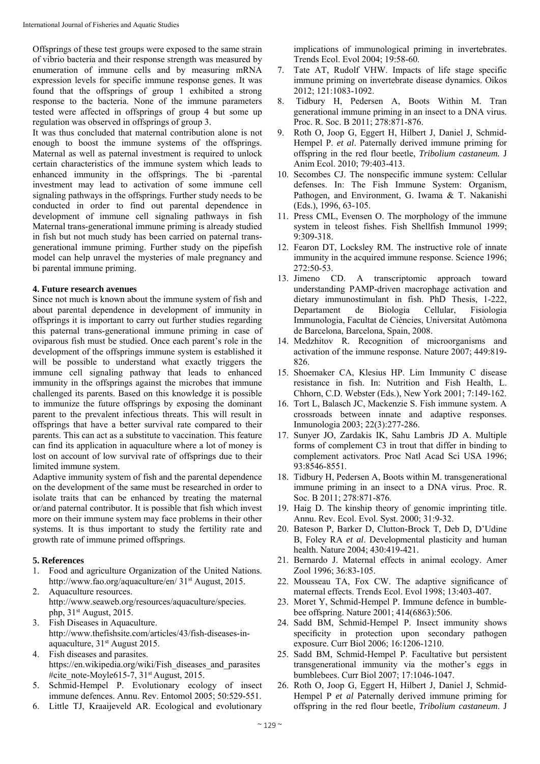Offsprings of these test groups were exposed to the same strain of vibrio bacteria and their response strength was measured by enumeration of immune cells and by measuring mRNA expression levels for specific immune response genes. It was found that the offsprings of group 1 exhibited a strong response to the bacteria. None of the immune parameters tested were affected in offsprings of group 4 but some up regulation was observed in offsprings of group 3.

It was thus concluded that maternal contribution alone is not enough to boost the immune systems of the offsprings. Maternal as well as paternal investment is required to unlock certain characteristics of the immune system which leads to enhanced immunity in the offsprings. The bi -parental investment may lead to activation of some immune cell signaling pathways in the offsprings. Further study needs to be conducted in order to find out parental dependence in development of immune cell signaling pathways in fish Maternal trans-generational immune priming is already studied in fish but not much study has been carried on paternal transgenerational immune priming. Further study on the pipefish model can help unravel the mysteries of male pregnancy and bi parental immune priming.

#### **4. Future research avenues**

Since not much is known about the immune system of fish and about parental dependence in development of immunity in offsprings it is important to carry out further studies regarding this paternal trans-generational immune priming in case of oviparous fish must be studied. Once each parent's role in the development of the offsprings immune system is established it will be possible to understand what exactly triggers the immune cell signaling pathway that leads to enhanced immunity in the offsprings against the microbes that immune challenged its parents. Based on this knowledge it is possible to immunize the future offsprings by exposing the dominant parent to the prevalent infectious threats. This will result in offsprings that have a better survival rate compared to their parents. This can act as a substitute to vaccination. This feature can find its application in aquaculture where a lot of money is lost on account of low survival rate of offsprings due to their limited immune system.

Adaptive immunity system of fish and the parental dependence on the development of the same must be researched in order to isolate traits that can be enhanced by treating the maternal or/and paternal contributor. It is possible that fish which invest more on their immune system may face problems in their other systems. It is thus important to study the fertility rate and growth rate of immune primed offsprings.

## **5. References**

- 1. Food and agriculture Organization of the United Nations. http://www.fao.org/aquaculture/en/ 31<sup>st</sup> August, 2015.
- 2. Aquaculture resources. http://www.seaweb.org/resources/aquaculture/species. php, 31<sup>st</sup> August, 2015.
- 3. Fish Diseases in Aquaculture. http://www.thefishsite.com/articles/43/fish-diseases-inaquaculture, 31<sup>st</sup> August 2015.
- 4. Fish diseases and parasites. https://en.wikipedia.org/wiki/Fish\_diseases\_and\_parasites #cite\_note-Moyle615-7,  $31<sup>st</sup>$  August, 2015.
- 5. Schmid-Hempel P. Evolutionary ecology of insect immune defences. Annu. Rev. Entomol 2005; 50:529-551.
- 6. Little TJ, Kraaijeveld AR. Ecological and evolutionary

implications of immunological priming in invertebrates. Trends Ecol. Evol 2004; 19:58-60.

- 7. Tate AT, Rudolf VHW. Impacts of life stage specific immune priming on invertebrate disease dynamics. Oikos 2012; 121:1083-1092.
- 8. Tidbury H, Pedersen A, Boots Within M. Tran generational immune priming in an insect to a DNA virus. Proc. R. Soc. B 2011; 278:871-876.
- 9. Roth O, Joop G, Eggert H, Hilbert J, Daniel J, Schmid-Hempel P. *et al*. Paternally derived immune priming for offspring in the red flour beetle, *Tribolium castaneum.* J Anim Ecol. 2010; 79:403-413.
- 10. Secombes CJ. The nonspecific immune system: Cellular defenses. In: The Fish Immune System: Organism, Pathogen, and Environment, G. Iwama & T. Nakanishi (Eds.), 1996, 63-105.
- 11. Press CML, Evensen O. The morphology of the immune system in teleost fishes. Fish Shellfish Immunol 1999; 9:309-318.
- 12. Fearon DT, Locksley RM. The instructive role of innate immunity in the acquired immune response. Science 1996; 272:50-53.
- 13. Jimeno CD. A transcriptomic approach toward understanding PAMP-driven macrophage activation and dietary immunostimulant in fish. PhD Thesis, 1-222, Departament de Biologia Cellular, Fisiologia Immunologia, Facultat de Ciències, Universitat Autòmona de Barcelona, Barcelona, Spain, 2008.
- 14. Medzhitov R. Recognition of microorganisms and activation of the immune response. Nature 2007; 449:819- 826.
- 15. Shoemaker CA, Klesius HP. Lim Immunity C disease resistance in fish. In: Nutrition and Fish Health, L. Chhorn, C.D. Webster (Eds.), New York 2001; 7:149-162.
- 16. Tort L, Balasch JC, Mackenzie S. Fish immune system. A crossroads between innate and adaptive responses. Inmunologia 2003; 22(3):277-286.
- 17. Sunyer JO, Zardakis IK, Sahu Lambris JD A. Multiple forms of complement C3 in trout that differ in binding to complement activators. Proc Natl Acad Sci USA 1996; 93:8546-8551.
- 18. Tidbury H, Pedersen A, Boots within M. transgenerational immune priming in an insect to a DNA virus. Proc. R. Soc. B 2011; 278:871-876.
- 19. Haig D. The kinship theory of genomic imprinting title. Annu. Rev. Ecol. Evol. Syst. 2000; 31:9-32.
- 20. Bateson P, Barker D, Clutton-Brock T, Deb D, D'Udine B, Foley RA *et al*. Developmental plasticity and human health. Nature 2004; 430:419-421.
- 21. Bernardo J. Maternal effects in animal ecology. Amer Zool 1996; 36:83-105.
- 22. Mousseau TA, Fox CW. The adaptive significance of maternal effects. Trends Ecol. Evol 1998; 13:403-407.
- 23. Moret Y, Schmid-Hempel P. Immune defence in bumblebee offspring. Nature 2001; 414(6863):506.
- 24. Sadd BM, Schmid-Hempel P. Insect immunity shows specificity in protection upon secondary pathogen exposure. Curr Biol 2006; 16:1206-1210.
- 25. Sadd BM, Schmid-Hempel P. Facultative but persistent transgenerational immunity via the mother's eggs in bumblebees. Curr Biol 2007; 17:1046-1047.
- 26. Roth O, Joop G, Eggert H, Hilbert J, Daniel J, Schmid-Hempel P *et al* Paternally derived immune priming for offspring in the red flour beetle, *Tribolium castaneum*. J